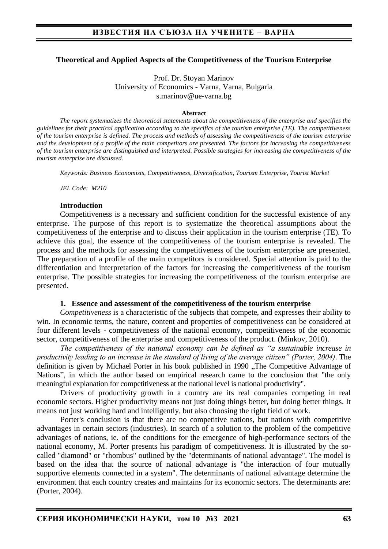### **Theoretical and Applied Aspects of the Competitiveness of the Tourism Enterprise**

Prof. Dr. Stoyan Marinov University of Economics - Varna, Varna, Bulgaria s.marinov@ue-varna.bg

#### **Abstract**

*The report systematizes the theoretical statements about the competitiveness of the enterprise and specifies the guidelines for their practical application according to the specifics of the tourism enterprise (TE). The competitiveness of the tourism enterprise is defined. The process and methods of assessing the competitiveness of the tourism enterprise and the development of a profile of the main competitors are presented. The factors for increasing the competitiveness of the tourism enterprise are distinguished and interpreted. Possible strategies for increasing the competitiveness of the tourism enterprise are discussed.*

*Keywords: Business Economists, Competitiveness, Diversification, Tourism Enterprise, Tourist Market*

*JEL Code: M210*

#### **Introduction**

Competitiveness is a necessary and sufficient condition for the successful existence of any enterprise. The purpose of this report is to systematize the theoretical assumptions about the competitiveness of the enterprise and to discuss their application in the tourism enterprise (TE). To achieve this goal, the essence of the competitiveness of the tourism enterprise is revealed. The process and the methods for assessing the competitiveness of the tourism enterprise are presented. The preparation of a profile of the main competitors is considered. Special attention is paid to the differentiation and interpretation of the factors for increasing the competitiveness of the tourism enterprise. The possible strategies for increasing the competitiveness of the tourism enterprise are presented.

#### **1. Essence and assessment of the competitiveness of the tourism enterprise**

*Competitiveness* is a characteristic of the subjects that compete, and expresses their ability to win. In economic terms, the nature, content and properties of competitiveness can be considered at four different levels - competitiveness of the national economy, competitiveness of the economic sector, competitiveness of the enterprise and competitiveness of the product. (Minkov, 2010).

*The competitiveness of the national economy can be defined as "a sustainable increase in productivity leading to an increase in the standard of living of the average citizen" (Porter, 2004)*. The definition is given by Michael Porter in his book published in 1990, The Competitive Advantage of Nations", in which the author based on empirical research came to the conclusion that "the only meaningful explanation for competitiveness at the national level is national productivity".

Drivers of productivity growth in a country are its real companies competing in real economic sectors. Higher productivity means not just doing things better, but doing better things. It means not just working hard and intelligently, but also choosing the right field of work.

Porter's conclusion is that there are no competitive nations, but nations with competitive advantages in certain sectors (industries). In search of a solution to the problem of the competitive advantages of nations, ie. of the conditions for the emergence of high-performance sectors of the national economy, M. Porter presents his paradigm of competitiveness. It is illustrated by the socalled "diamond" or "rhombus" outlined by the "determinants of national advantage". The model is based on the idea that the source of national advantage is "the interaction of four mutually supportive elements connected in a system". The determinants of national advantage determine the environment that each country creates and maintains for its economic sectors. The determinants are: (Porter, 2004).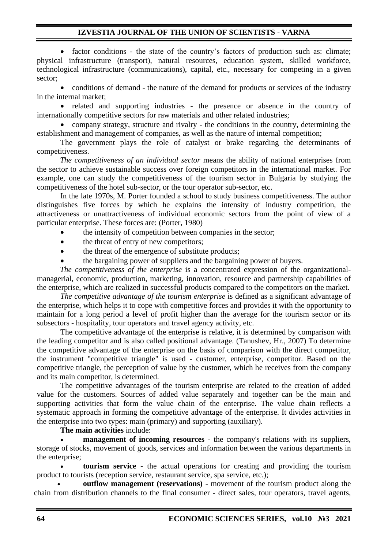• factor conditions - the state of the country's factors of production such as: climate; physical infrastructure (transport), natural resources, education system, skilled workforce, technological infrastructure (communications), capital, etc., necessary for competing in a given sector;

• conditions of demand - the nature of the demand for products or services of the industry in the internal market;

• related and supporting industries - the presence or absence in the country of internationally competitive sectors for raw materials and other related industries;

• company strategy, structure and rivalry - the conditions in the country, determining the establishment and management of companies, as well as the nature of internal competition;

The government plays the role of catalyst or brake regarding the determinants of competitiveness.

*The competitiveness of an individual sector* means the ability of national enterprises from the sector to achieve sustainable success over foreign competitors in the international market. For example, one can study the competitiveness of the tourism sector in Bulgaria by studying the competitiveness of the hotel sub-sector, or the tour operator sub-sector, etc.

In the late 1970s, M. Porter founded a school to study business competitiveness. The author distinguishes five forces by which he explains the intensity of industry competition, the attractiveness or unattractiveness of individual economic sectors from the point of view of a particular enterprise. These forces are: (Porter, 1980)

- the intensity of competition between companies in the sector:
- the threat of entry of new competitors;
- the threat of the emergence of substitute products;
- the bargaining power of suppliers and the bargaining power of buyers.

*The competitiveness of the enterprise* is a concentrated expression of the organizationalmanagerial, economic, production, marketing, innovation, resource and partnership capabilities of the enterprise, which are realized in successful products compared to the competitors on the market.

*The competitive advantage of the tourism enterprise* is defined as a significant advantage of the enterprise, which helps it to cope with competitive forces and provides it with the opportunity to maintain for a long period a level of profit higher than the average for the tourism sector or its subsectors - hospitality, tour operators and travel agency activity, etc.

The competitive advantage of the enterprise is relative, it is determined by comparison with the leading competitor and is also called positional advantage. (Tanushev, Hr., 2007) To determine the competitive advantage of the enterprise on the basis of comparison with the direct competitor, the instrument "competitive triangle" is used - customer, enterprise, competitor. Based on the competitive triangle, the perception of value by the customer, which he receives from the company and its main competitor, is determined.

The competitive advantages of the tourism enterprise are related to the creation of added value for the customers. Sources of added value separately and together can be the main and supporting activities that form the value chain of the enterprise. The value chain reflects a systematic approach in forming the competitive advantage of the enterprise. It divides activities in the enterprise into two types: main (primary) and supporting (auxiliary).

**The main activities** include:

**management of incoming resources** - the company's relations with its suppliers, storage of stocks, movement of goods, services and information between the various departments in the enterprise;

• **tourism service** - the actual operations for creating and providing the tourism product to tourists (reception service, restaurant service, spa service, etc.);

• **outflow management (reservations)** - movement of the tourism product along the chain from distribution channels to the final consumer - direct sales, tour operators, travel agents,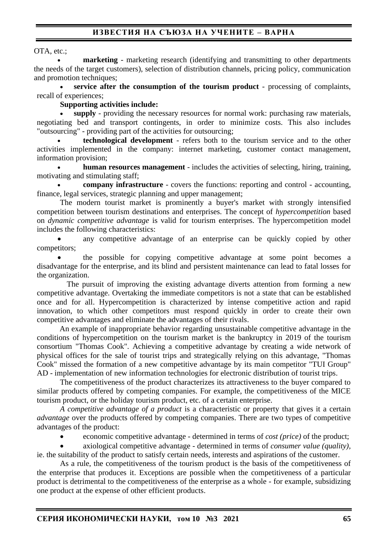# **ИЗВЕСТИЯ НА СЪЮЗА НА УЧЕНИТЕ – ВАРНА**

OTA, etc.;

**marketing** - marketing research (identifying and transmitting to other departments the needs of the target customers), selection of distribution channels, pricing policy, communication and promotion techniques:

• **service after the consumption of the tourism product** - processing of complaints, recall of experiences;

### **Supporting activities include:**

• **supply** - providing the necessary resources for normal work: purchasing raw materials, negotiating bed and transport contingents, in order to minimize costs. This also includes "outsourcing" - providing part of the activities for outsourcing;

• **technological development** - refers both to the tourism service and to the other activities implemented in the company: internet marketing, customer contact management, information provision;

• **human resources management** - includes the activities of selecting, hiring, training, motivating and stimulating staff;

• **company infrastructure** - covers the functions: reporting and control - accounting, finance, legal services, strategic planning and upper management;

The modern tourist market is prominently a buyer's market with strongly intensified competition between tourism destinations and enterprises. The concept of *hypercompetition* based on *dynamic competitive advantage* is valid for tourism enterprises. The hypercompetition model includes the following characteristics:

any competitive advantage of an enterprise can be quickly copied by other competitors;

• the possible for copying competitive advantage at some point becomes a disadvantage for the enterprise, and its blind and persistent maintenance can lead to fatal losses for the organization.

The pursuit of improving the existing advantage diverts attention from forming a new competitive advantage. Overtaking the immediate competitors is not a state that can be established once and for all. Hypercompetition is characterized by intense competitive action and rapid innovation, to which other competitors must respond quickly in order to create their own competitive advantages and eliminate the advantages of their rivals.

An example of inappropriate behavior regarding unsustainable competitive advantage in the conditions of hypercompetition on the tourism market is the bankruptcy in 2019 of the tourism consortium "Thomas Cook". Achieving a competitive advantage by creating a wide network of physical offices for the sale of tourist trips and strategically relying on this advantage, "Thomas Cook" missed the formation of a new competitive advantage by its main competitor "TUI Group" AD - implementation of new information technologies for electronic distribution of tourist trips.

The competitiveness of the product characterizes its attractiveness to the buyer compared to similar products offered by competing companies. For example, the competitiveness of the MICE tourism product, or the holiday tourism product, etc. of a certain enterprise.

*A competitive advantage of a product* is a characteristic or property that gives it a certain *advantage* over the products offered by competing companies. There are two types of competitive advantages of the product:

• economic competitive advantage - determined in terms of *cost (price)* of the product;

• axiological competitive advantage - determined in terms of *consumer value (quality),* ie. the suitability of the product to satisfy certain needs, interests and aspirations of the customer.

As a rule, the competitiveness of the tourism product is the basis of the competitiveness of the enterprise that produces it. Exceptions are possible when the competitiveness of a particular product is detrimental to the competitiveness of the enterprise as a whole - for example, subsidizing one product at the expense of other efficient products.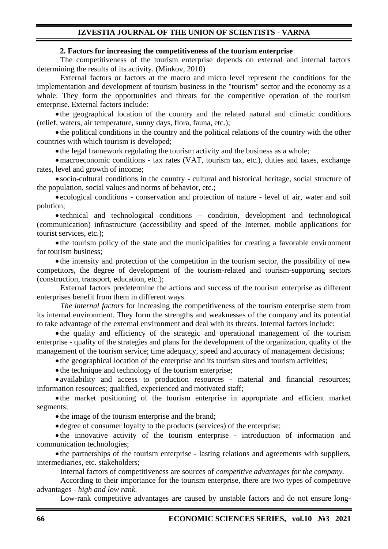#### **2. Factors for increasing the competitiveness of the tourism enterprise**

The competitiveness of the tourism enterprise depends on external and internal factors determining the results of its activity. (Minkov, 2010)

External factors or factors at the macro and micro level represent the conditions for the implementation and development of tourism business in the "tourism" sector and the economy as a whole. They form the opportunities and threats for the competitive operation of the tourism enterprise. External factors include:

• the geographical location of the country and the related natural and climatic conditions (relief, waters, air temperature, sunny days, flora, fauna, etc.);

• the political conditions in the country and the political relations of the country with the other countries with which tourism is developed;

• the legal framework regulating the tourism activity and the business as a whole;

•macroeconomic conditions - tax rates (VAT, tourism tax, etc.), duties and taxes, exchange rates, level and growth of income;

• socio-cultural conditions in the country - cultural and historical heritage, social structure of the population, social values and norms of behavior, etc.;

• ecological conditions - conservation and protection of nature - level of air, water and soil polution;

• technical and technological conditions – condition, development and technological (communication) infrastructure (accessibility and speed of the Internet, mobile applications for tourist services, etc.);

• the tourism policy of the state and the municipalities for creating a favorable environment for tourism business;

• the intensity and protection of the competition in the tourism sector, the possibility of new competitors, the degree of development of the tourism-related and tourism-supporting sectors (construction, transport, education, etc.);

External factors predetermine the actions and success of the tourism enterprise as different enterprises benefit from them in different ways.

*The internal factors* for increasing the competitiveness of the tourism enterprise stem from its internal environment. They form the strengths and weaknesses of the company and its potential to take advantage of the external environment and deal with its threats. Internal factors include:

• the quality and efficiency of the strategic and operational management of the tourism enterprise - quality of the strategies and plans for the development of the organization, quality of the management of the tourism service; time adequacy, speed and accuracy of management decisions;

• the geographical location of the enterprise and its tourism sites and tourism activities;

• the technique and technology of the tourism enterprise;

• availability and access to production resources - material and financial resources; information resources; qualified, experienced and motivated staff;

• the market positioning of the tourism enterprise in appropriate and efficient market segments;

• the image of the tourism enterprise and the brand;

• degree of consumer loyalty to the products (services) of the enterprise;

• the innovative activity of the tourism enterprise - introduction of information and communication technologies;

• the partnerships of the tourism enterprise - lasting relations and agreements with suppliers, intermediaries, etc. stakeholders;

Internal factors of competitiveness are sources of *competitive advantages for the company.*

According to their importance for the tourism enterprise, there are two types of competitive advantages *- high and low rank.*

Low-rank competitive advantages are caused by unstable factors and do not ensure long-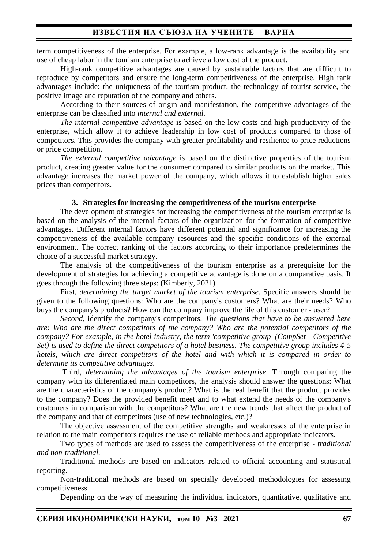term competitiveness of the enterprise. For example, a low-rank advantage is the availability and use of cheap labor in the tourism enterprise to achieve a low cost of the product.

High-rank competitive advantages are caused by sustainable factors that are difficult to reproduce by competitors and ensure the long-term competitiveness of the enterprise. High rank advantages include: the uniqueness of the tourism product, the technology of tourist service, the positive image and reputation of the company and others.

According to their sources of origin and manifestation, the competitive advantages of the enterprise can be classified into *internal and external.*

*The internal competitive advantage* is based on the low costs and high productivity of the enterprise, which allow it to achieve leadership in low cost of products compared to those of competitors. This provides the company with greater profitability and resilience to price reductions or price competition.

*The external competitive advantage* is based on the distinctive properties of the tourism product, creating greater value for the consumer compared to similar products on the market. This advantage increases the market power of the company, which allows it to establish higher sales prices than competitors.

#### **3. Strategies for increasing the competitiveness of the tourism enterprise**

The development of strategies for increasing the competitiveness of the tourism enterprise is based on the analysis of the internal factors of the organization for the formation of competitive advantages. Different internal factors have different potential and significance for increasing the competitiveness of the available company resources and the specific conditions of the external environment. The correct ranking of the factors according to their importance predetermines the choice of a successful market strategy.

The analysis of the competitiveness of the tourism enterprise as a prerequisite for the development of strategies for achieving a competitive advantage is done on a comparative basis. It goes through the following three steps: (Kimberly, 2021)

First, *determining the target market of the tourism enterprise*. Specific answers should be given to the following questions: Who are the company's customers? What are their needs? Who buys the company's products? How can the company improve the life of this customer - user?

*Second,* identify the company's competitors*. The questions that have to be answered here are: Who are the direct competitors of the company? Who are the potential competitors of the company? For example, in the hotel industry, the term 'competitive group' (CompSet - Competitive Set) is used to define the direct competitors of a hotel business. The competitive group includes 4-5 hotels, which are direct competitors of the hotel and with which it is compared in order to determine its competitive advantages.*

Third, *determining the advantages of the tourism enterprise*. Through comparing the company with its differentiated main competitors, the analysis should answer the questions: What are the characteristics of the company's product? What is the real benefit that the product provides to the company? Does the provided benefit meet and to what extend the needs of the company's customers in comparison with the competitors? What are the new trends that affect the product of the company and that of competitors (use of new technologies, etc.)?

The objective assessment of the competitive strengths and weaknesses of the enterprise in relation to the main competitors requires the use of reliable methods and appropriate indicators.

Two types of methods are used to assess the competitiveness of the enterprise - *traditional and non-traditional.*

Traditional methods are based on indicators related to official accounting and statistical reporting.

Non-traditional methods are based on specially developed methodologies for assessing competitiveness.

Depending on the way of measuring the individual indicators, quantitative, qualitative and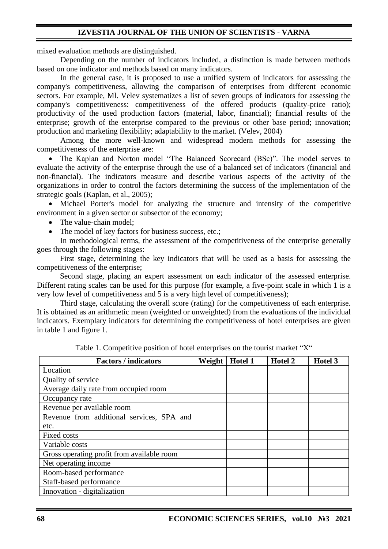mixed evaluation methods are distinguished.

Depending on the number of indicators included, a distinction is made between methods based on one indicator and methods based on many indicators.

In the general case, it is proposed to use a unified system of indicators for assessing the company's competitiveness, allowing the comparison of enterprises from different economic sectors. For example, Ml. Velev systematizes a list of seven groups of indicators for assessing the company's competitiveness: competitiveness of the offered products (quality-price ratio); productivity of the used production factors (material, labor, financial); financial results of the enterprise; growth of the enterprise compared to the previous or other base period; innovation; production and marketing flexibility; adaptability to the market. (Velev, 2004)

Among the more well-known and widespread modern methods for assessing the competitiveness of the enterprise are:

• The Kaplan and Norton model "The Balanced Scorecard (BSc)". The model serves to evaluate the activity of the enterprise through the use of a balanced set of indicators (financial and non-financial). The indicators measure and describe various aspects of the activity of the organizations in order to control the factors determining the success of the implementation of the strategic goals (Kaplan, et al., 2005);

• Michael Porter's model for analyzing the structure and intensity of the competitive environment in a given sector or subsector of the economy;

- The value-chain model;
- The model of key factors for business success, etc.;

In methodological terms, the assessment of the competitiveness of the enterprise generally goes through the following stages:

First stage, determining the key indicators that will be used as a basis for assessing the competitiveness of the enterprise;

Second stage, placing an expert assessment on each indicator of the assessed enterprise. Different rating scales can be used for this purpose (for example, a five-point scale in which 1 is a very low level of competitiveness and 5 is a very high level of competitiveness);

Third stage, calculating the overall score (rating) for the competitiveness of each enterprise. It is obtained as an arithmetic mean (weighted or unweighted) from the evaluations of the individual indicators. Exemplary indicators for determining the competitiveness of hotel enterprises are given in table 1 and figure 1.

| <b>Factors / indicators</b>                | Weight | Hotel 1 | Hotel 2 | Hotel 3 |
|--------------------------------------------|--------|---------|---------|---------|
| Location                                   |        |         |         |         |
| Quality of service                         |        |         |         |         |
| Average daily rate from occupied room      |        |         |         |         |
| Occupancy rate                             |        |         |         |         |
| Revenue per available room                 |        |         |         |         |
| Revenue from additional services, SPA and  |        |         |         |         |
| etc.                                       |        |         |         |         |
| Fixed costs                                |        |         |         |         |
| Variable costs                             |        |         |         |         |
| Gross operating profit from available room |        |         |         |         |
| Net operating income                       |        |         |         |         |
| Room-based performance                     |        |         |         |         |
| Staff-based performance                    |        |         |         |         |
| Innovation - digitalization                |        |         |         |         |

Table 1. Competitive position of hotel enterprises on the tourist market "X"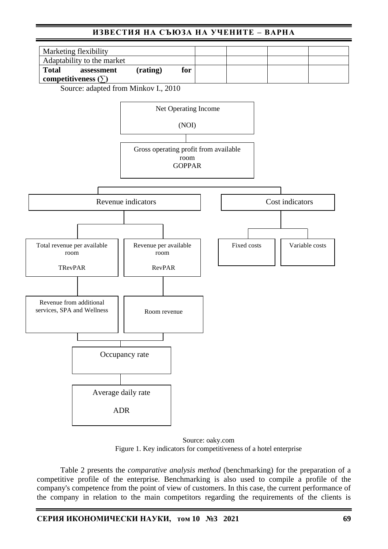# **ИЗВЕСТИЯ НА СЪЮЗА НА УЧЕНИТЕ – ВАРНА**



Source: adapted from Minkov I., 2010



Source: oaky.com Figure 1. Key indicators for competitiveness of a hotel enterprise

Table 2 presents the *comparative analysis method* (benchmarking) for the preparation of a competitive profile of the enterprise. Benchmarking is also used to compile a profile of the company's competence from the point of view of customers. In this case, the current performance of the company in relation to the main competitors regarding the requirements of the clients is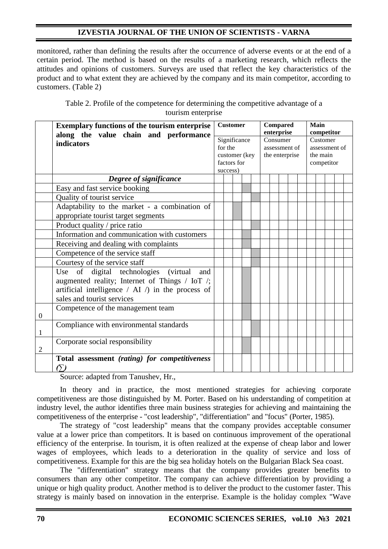monitored, rather than defining the results after the occurrence of adverse events or at the end of a certain period. The method is based on the results of a marketing research, which reflects the attitudes and opinions of customers. Surveys are used that reflect the key characteristics of the product and to what extent they are achieved by the company and its main competitor, according to customers. (Table 2)

| Table 2. Profile of the competence for determining the competitive advantage of a |  |
|-----------------------------------------------------------------------------------|--|
| tourism enterprise                                                                |  |

|                | <b>Exemplary functions of the tourism enterprise</b><br>along the value chain and performance                                                                                                    | <b>Customer</b><br>Significance<br>for the<br>customer (key<br>factors for<br>success) |  |  |                                             | Compared<br>enterprise |  |  |  |                           | Main<br>competitor |  |  |  |  |  |
|----------------|--------------------------------------------------------------------------------------------------------------------------------------------------------------------------------------------------|----------------------------------------------------------------------------------------|--|--|---------------------------------------------|------------------------|--|--|--|---------------------------|--------------------|--|--|--|--|--|
|                | indicators                                                                                                                                                                                       |                                                                                        |  |  | Consumer<br>assessment of<br>the enterprise |                        |  |  |  | Customer<br>assessment of |                    |  |  |  |  |  |
|                |                                                                                                                                                                                                  |                                                                                        |  |  |                                             |                        |  |  |  | the main<br>competitor    |                    |  |  |  |  |  |
|                | Degree of significance                                                                                                                                                                           |                                                                                        |  |  |                                             |                        |  |  |  |                           |                    |  |  |  |  |  |
|                | Easy and fast service booking                                                                                                                                                                    |                                                                                        |  |  |                                             |                        |  |  |  |                           |                    |  |  |  |  |  |
|                | Quality of tourist service                                                                                                                                                                       |                                                                                        |  |  |                                             |                        |  |  |  |                           |                    |  |  |  |  |  |
|                | Adaptability to the market - a combination of<br>appropriate tourist target segments                                                                                                             |                                                                                        |  |  |                                             |                        |  |  |  |                           |                    |  |  |  |  |  |
|                | Product quality / price ratio                                                                                                                                                                    |                                                                                        |  |  |                                             |                        |  |  |  |                           |                    |  |  |  |  |  |
|                | Information and communication with customers                                                                                                                                                     |                                                                                        |  |  |                                             |                        |  |  |  |                           |                    |  |  |  |  |  |
|                | Receiving and dealing with complaints                                                                                                                                                            |                                                                                        |  |  |                                             |                        |  |  |  |                           |                    |  |  |  |  |  |
|                | Competence of the service staff                                                                                                                                                                  |                                                                                        |  |  |                                             |                        |  |  |  |                           |                    |  |  |  |  |  |
|                | Courtesy of the service staff                                                                                                                                                                    |                                                                                        |  |  |                                             |                        |  |  |  |                           |                    |  |  |  |  |  |
|                | Use of digital technologies<br><i>(virtual)</i><br>and<br>augmented reality; Internet of Things / IoT /;<br>artificial intelligence $/$ AI $/$ ) in the process of<br>sales and tourist services |                                                                                        |  |  |                                             |                        |  |  |  |                           |                    |  |  |  |  |  |
| $\overline{0}$ | Competence of the management team                                                                                                                                                                |                                                                                        |  |  |                                             |                        |  |  |  |                           |                    |  |  |  |  |  |
| 1              | Compliance with environmental standards                                                                                                                                                          |                                                                                        |  |  |                                             |                        |  |  |  |                           |                    |  |  |  |  |  |
| 2              | Corporate social responsibility                                                                                                                                                                  |                                                                                        |  |  |                                             |                        |  |  |  |                           |                    |  |  |  |  |  |
|                | Total assessment (rating) for competitiveness<br>(Y)                                                                                                                                             |                                                                                        |  |  |                                             |                        |  |  |  |                           |                    |  |  |  |  |  |

Source: adapted from Tanushev, Hr.,

In theory and in practice, the most mentioned strategies for achieving corporate competitiveness are those distinguished by M. Porter. Based on his understanding of competition at industry level, the author identifies three main business strategies for achieving and maintaining the competitiveness of the enterprise - "cost leadership", "differentiation" and "focus" (Porter, 1985).

The strategy of "cost leadership" means that the company provides acceptable consumer value at a lower price than competitors. It is based on continuous improvement of the operational efficiency of the enterprise. In tourism, it is often realized at the expense of cheap labor and lower wages of employees, which leads to a deterioration in the quality of service and loss of competitiveness. Example for this are the big sea holiday hotels on the Bulgarian Black Sea coast.

The "differentiation" strategy means that the company provides greater benefits to consumers than any other competitor. The company can achieve differentiation by providing a unique or high quality product. Another method is to deliver the product to the customer faster. This strategy is mainly based on innovation in the enterprise. Example is the holiday complex "Wave